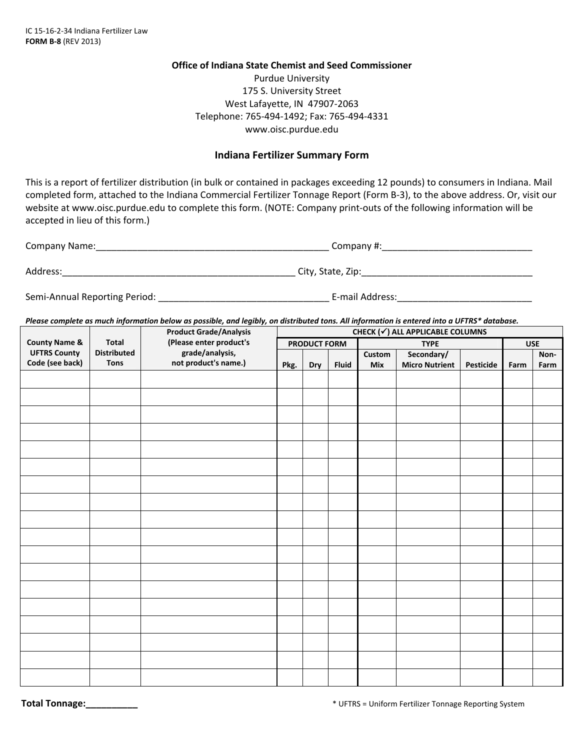## **Office of Indiana State Chemist and Seed Commissioner**

Purdue University 175 S. University Street West Lafayette, IN 47907‐2063 Telephone: 765‐494‐1492; Fax: 765‐494‐4331 www.oisc.purdue.edu

## **Indiana Fertilizer Summary Form**

This is a report of fertilizer distribution (in bulk or contained in packages exceeding 12 pounds) to consumers in Indiana. Mail completed form, attached to the Indiana Commercial Fertilizer Tonnage Report (Form B-3), to the above address. Or, visit our website at www.oisc.purdue.edu to complete this form. (NOTE: Company print-outs of the following information will be accepted in lieu of this form.)

| Company Name: | Company#:         |  |  |  |
|---------------|-------------------|--|--|--|
| Address:      | City, State, Zip: |  |  |  |

Semi‐Annual Reporting Period: \_\_\_\_\_\_\_\_\_\_\_\_\_\_\_\_\_\_\_\_\_\_\_\_\_\_\_\_\_\_\_\_\_ E‐mail Address:\_\_\_\_\_\_\_\_\_\_\_\_\_\_\_\_\_\_\_\_\_\_\_\_\_\_

Please complete as much information below as possible, and legibly, on distributed tons. All information is entered into a UFTRS\* database.

|                                                                    | CHECK (√) ALL APPLICABLE COLUMNS |                                                                                                     |                     |     |              |             |                       |           |            |      |
|--------------------------------------------------------------------|----------------------------------|-----------------------------------------------------------------------------------------------------|---------------------|-----|--------------|-------------|-----------------------|-----------|------------|------|
| <b>County Name &amp;</b><br><b>UFTRS County</b><br>Code (see back) | <b>Total</b>                     | <b>Product Grade/Analysis</b><br>(Please enter product's<br>grade/analysis,<br>not product's name.) | <b>PRODUCT FORM</b> |     |              | <b>TYPE</b> |                       |           | <b>USE</b> |      |
|                                                                    | <b>Distributed</b>               |                                                                                                     |                     |     |              | Custom      | Secondary/            |           |            | Non- |
|                                                                    | <b>Tons</b>                      |                                                                                                     | Pkg.                | Dry | <b>Fluid</b> | Mix         | <b>Micro Nutrient</b> | Pesticide | Farm       | Farm |
|                                                                    |                                  |                                                                                                     |                     |     |              |             |                       |           |            |      |
|                                                                    |                                  |                                                                                                     |                     |     |              |             |                       |           |            |      |
|                                                                    |                                  |                                                                                                     |                     |     |              |             |                       |           |            |      |
|                                                                    |                                  |                                                                                                     |                     |     |              |             |                       |           |            |      |
|                                                                    |                                  |                                                                                                     |                     |     |              |             |                       |           |            |      |
|                                                                    |                                  |                                                                                                     |                     |     |              |             |                       |           |            |      |
|                                                                    |                                  |                                                                                                     |                     |     |              |             |                       |           |            |      |
|                                                                    |                                  |                                                                                                     |                     |     |              |             |                       |           |            |      |
|                                                                    |                                  |                                                                                                     |                     |     |              |             |                       |           |            |      |
|                                                                    |                                  |                                                                                                     |                     |     |              |             |                       |           |            |      |
|                                                                    |                                  |                                                                                                     |                     |     |              |             |                       |           |            |      |
|                                                                    |                                  |                                                                                                     |                     |     |              |             |                       |           |            |      |
|                                                                    |                                  |                                                                                                     |                     |     |              |             |                       |           |            |      |
|                                                                    |                                  |                                                                                                     |                     |     |              |             |                       |           |            |      |
|                                                                    |                                  |                                                                                                     |                     |     |              |             |                       |           |            |      |
|                                                                    |                                  |                                                                                                     |                     |     |              |             |                       |           |            |      |
|                                                                    |                                  |                                                                                                     |                     |     |              |             |                       |           |            |      |
|                                                                    |                                  |                                                                                                     |                     |     |              |             |                       |           |            |      |
|                                                                    |                                  |                                                                                                     |                     |     |              |             |                       |           |            |      |
|                                                                    |                                  |                                                                                                     |                     |     |              |             |                       |           |            |      |